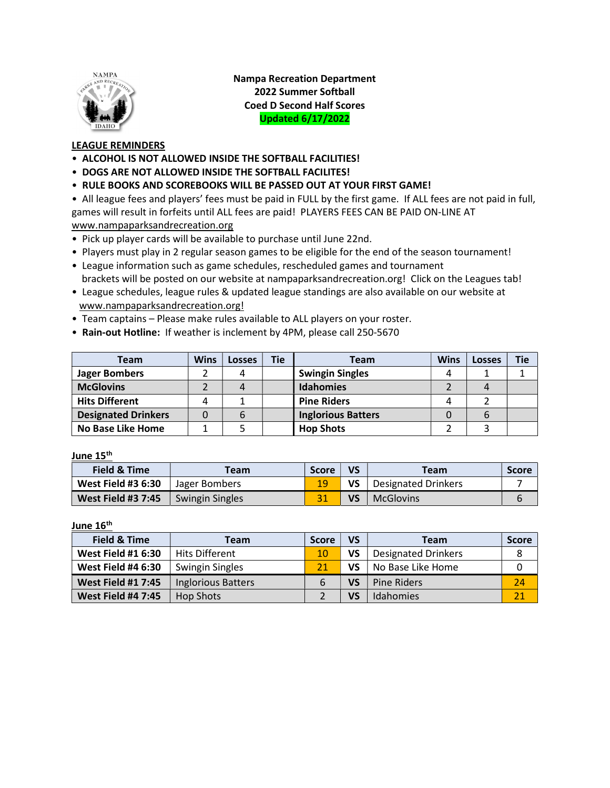

Nampa Recreation Department 2022 Summer Softball Coed D Second Half Scores Updated 6/17/2022

### LEAGUE REMINDERS

- ALCOHOL IS NOT ALLOWED INSIDE THE SOFTBALL FACILITIES!
- DOGS ARE NOT ALLOWED INSIDE THE SOFTBALL FACILITES!
- RULE BOOKS AND SCOREBOOKS WILL BE PASSED OUT AT YOUR FIRST GAME!

• All league fees and players' fees must be paid in FULL by the first game. If ALL fees are not paid in full, games will result in forfeits until ALL fees are paid! PLAYERS FEES CAN BE PAID ON-LINE AT www.nampaparksandrecreation.org

- Pick up player cards will be available to purchase until June 22nd.
- Players must play in 2 regular season games to be eligible for the end of the season tournament!
- League information such as game schedules, rescheduled games and tournament brackets will be posted on our website at nampaparksandrecreation.org! Click on the Leagues tab!
- League schedules, league rules & updated league standings are also available on our website at www.nampaparksandrecreation.org!
- Team captains Please make rules available to ALL players on your roster.
- Rain-out Hotline: If weather is inclement by 4PM, please call 250-5670

| Team                       | <b>Wins</b> | <b>Losses</b> | <b>Tie</b> | Team                      | <b>Wins</b> | <b>Losses</b> | <b>Tie</b> |
|----------------------------|-------------|---------------|------------|---------------------------|-------------|---------------|------------|
| <b>Jager Bombers</b>       |             |               |            | <b>Swingin Singles</b>    |             |               |            |
| <b>McGlovins</b>           |             |               |            | <b>Idahomies</b>          |             |               |            |
| <b>Hits Different</b>      |             |               |            | <b>Pine Riders</b>        |             |               |            |
| <b>Designated Drinkers</b> |             |               |            | <b>Inglorious Batters</b> |             |               |            |
| <b>No Base Like Home</b>   |             |               |            | <b>Hop Shots</b>          |             |               |            |

June 15<sup>th</sup>

| <b>Field &amp; Time</b>   | <b>Feam</b>            | <b>Score</b> | VS | Team                | <b>Score</b> |
|---------------------------|------------------------|--------------|----|---------------------|--------------|
| <b>West Field #3 6:30</b> | Jager Bombers          | 19           | VS | Designated Drinkers |              |
| <b>West Field #3 7:45</b> | <b>Swingin Singles</b> |              | VS | <b>McGlovins</b>    | b            |

June 16<sup>th</sup>

| Field & Time              | Team                      | <b>Score</b> | VS        | Team                       | <b>Score</b> |
|---------------------------|---------------------------|--------------|-----------|----------------------------|--------------|
| <b>West Field #1 6:30</b> | <b>Hits Different</b>     | 10           | VS        | <b>Designated Drinkers</b> | 8            |
| <b>West Field #4 6:30</b> | <b>Swingin Singles</b>    | 21           | VS        | No Base Like Home          |              |
| <b>West Field #1 7:45</b> | <b>Inglorious Batters</b> | 6            | VS        | <b>Pine Riders</b>         | 24           |
| <b>West Field #4 7:45</b> | <b>Hop Shots</b>          |              | <b>VS</b> | Idahomies                  | 21           |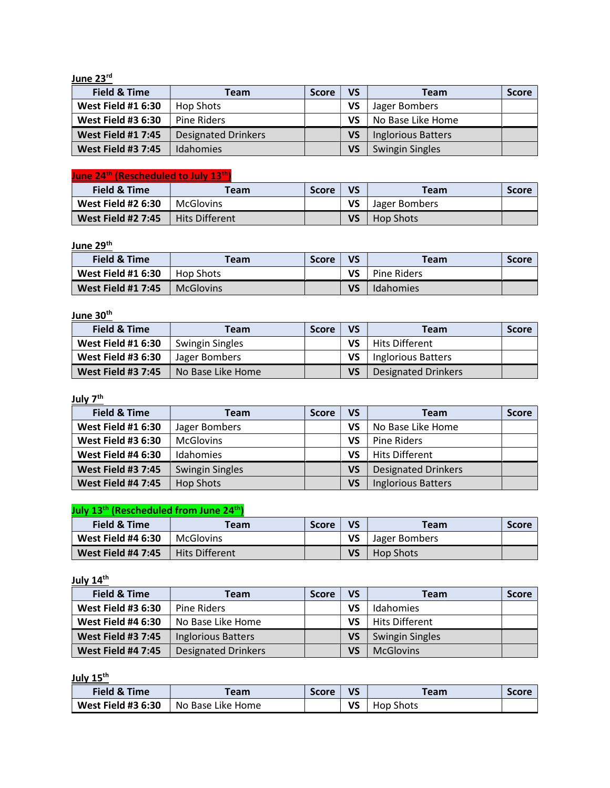#### June 23<sup>rd</sup>

| Field & Time              | Team                       | <b>Score</b> | VS | Team                      | <b>Score</b> |
|---------------------------|----------------------------|--------------|----|---------------------------|--------------|
| <b>West Field #1 6:30</b> | <b>Hop Shots</b>           |              | VS | Jager Bombers             |              |
| <b>West Field #3 6:30</b> | Pine Riders                |              | VS | No Base Like Home         |              |
| <b>West Field #1 7:45</b> | <b>Designated Drinkers</b> |              | VS | <b>Inglorious Batters</b> |              |
| <b>West Field #3 7:45</b> | <b>Idahomies</b>           |              | VS | <b>Swingin Singles</b>    |              |

## June 24<sup>th</sup> (Rescheduled to July 13<sup>th</sup>)

| Field & Time              | Team                  | <b>Score</b> | VS | Team          | <b>Score</b> |
|---------------------------|-----------------------|--------------|----|---------------|--------------|
| <b>West Field #2 6:30</b> | <b>McGlovins</b>      |              | VS | Jager Bombers |              |
| <b>West Field #2 7:45</b> | <b>Hits Different</b> |              | VS | Hop Shots     |              |

#### June 29<sup>th</sup>

| Field & Time              | Team             | <b>Score</b> | VS | <b>Team</b>        | <b>Score</b> |
|---------------------------|------------------|--------------|----|--------------------|--------------|
| <b>West Field #1 6:30</b> | Hop Shots        |              | VS | <b>Pine Riders</b> |              |
| <b>West Field #1 7:45</b> | <b>McGlovins</b> |              | VS | Idahomies          |              |

#### June 30<sup>th</sup>

| Field & Time              | Team              | <b>Score</b> | <b>VS</b> | Team                      | <b>Score</b> |
|---------------------------|-------------------|--------------|-----------|---------------------------|--------------|
| <b>West Field #1 6:30</b> | Swingin Singles   |              | VS        | <b>Hits Different</b>     |              |
| <b>West Field #3 6:30</b> | Jager Bombers     |              | VS        | <b>Inglorious Batters</b> |              |
| <b>West Field #3 7:45</b> | No Base Like Home |              | VS        | Designated Drinkers       |              |

#### July 7<sup>th</sup>

| <b>Field &amp; Time</b>   | Team                   | <b>Score</b> | VS | <b>Team</b>                | <b>Score</b> |
|---------------------------|------------------------|--------------|----|----------------------------|--------------|
| <b>West Field #1 6:30</b> | Jager Bombers          |              | VS | No Base Like Home          |              |
| <b>West Field #3 6:30</b> | <b>McGlovins</b>       |              | VS | Pine Riders                |              |
| <b>West Field #4 6:30</b> | Idahomies              |              | VS | <b>Hits Different</b>      |              |
| <b>West Field #3 7:45</b> | <b>Swingin Singles</b> |              | VS | <b>Designated Drinkers</b> |              |
| <b>West Field #4 7:45</b> | <b>Hop Shots</b>       |              | VS | <b>Inglorious Batters</b>  |              |

# July 13<sup>th</sup> (Rescheduled from June 24<sup>th</sup>)

| Field & Time              | Team                  | <b>Score</b> | VS | Team          | <b>Score</b> |
|---------------------------|-----------------------|--------------|----|---------------|--------------|
| <b>West Field #4 6:30</b> | McGlovins             |              | VS | Jager Bombers |              |
| <b>West Field #4 7:45</b> | <b>Hits Different</b> |              | VS | Hop Shots     |              |

#### July 14<sup>th</sup>

| Field & Time              | Team                       | <b>Score</b> | VS | <b>Team</b>            | <b>Score</b> |
|---------------------------|----------------------------|--------------|----|------------------------|--------------|
| <b>West Field #3 6:30</b> | Pine Riders                |              | VS | Idahomies              |              |
| <b>West Field #4 6:30</b> | No Base Like Home          |              | VS | <b>Hits Different</b>  |              |
| <b>West Field #3 7:45</b> | <b>Inglorious Batters</b>  |              | VS | <b>Swingin Singles</b> |              |
| <b>West Field #4 7:45</b> | <b>Designated Drinkers</b> |              | VS | <b>McGlovins</b>       |              |

July 15<sup>th</sup>

| <b>Field &amp; Time</b>   | <b>Team</b>       | <b>Score</b> | VS | Team.            | <b>Score</b> |
|---------------------------|-------------------|--------------|----|------------------|--------------|
| <b>West Field #3 6:30</b> | No Base Like Home |              | ٧S | <b>Hop Shots</b> |              |